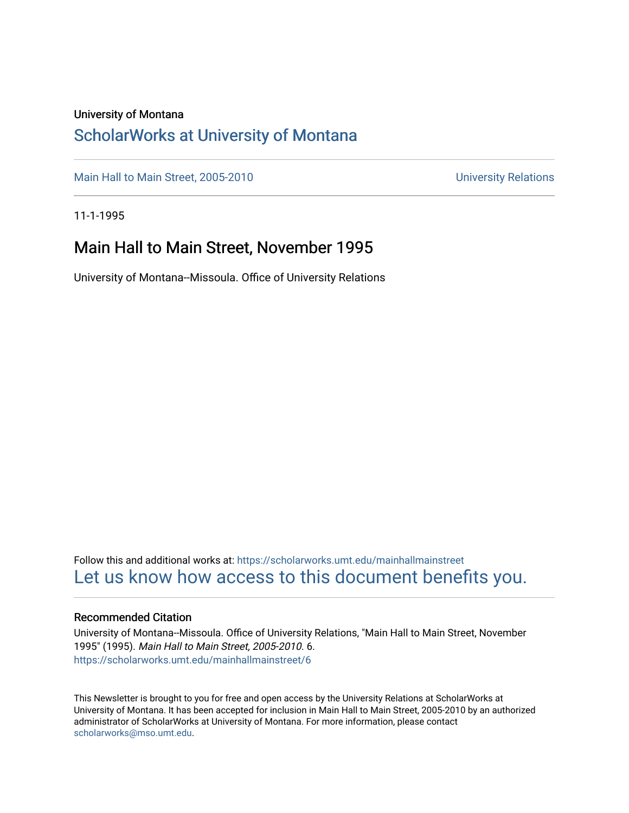### University of Montana

### [ScholarWorks at University of Montana](https://scholarworks.umt.edu/)

[Main Hall to Main Street, 2005-2010](https://scholarworks.umt.edu/mainhallmainstreet) Main Hall to Main Street, 2005-2010

11-1-1995

### Main Hall to Main Street, November 1995

University of Montana--Missoula. Office of University Relations

Follow this and additional works at: [https://scholarworks.umt.edu/mainhallmainstreet](https://scholarworks.umt.edu/mainhallmainstreet?utm_source=scholarworks.umt.edu%2Fmainhallmainstreet%2F6&utm_medium=PDF&utm_campaign=PDFCoverPages) [Let us know how access to this document benefits you.](https://goo.gl/forms/s2rGfXOLzz71qgsB2) 

### Recommended Citation

University of Montana--Missoula. Office of University Relations, "Main Hall to Main Street, November 1995" (1995). Main Hall to Main Street, 2005-2010. 6. [https://scholarworks.umt.edu/mainhallmainstreet/6](https://scholarworks.umt.edu/mainhallmainstreet/6?utm_source=scholarworks.umt.edu%2Fmainhallmainstreet%2F6&utm_medium=PDF&utm_campaign=PDFCoverPages) 

This Newsletter is brought to you for free and open access by the University Relations at ScholarWorks at University of Montana. It has been accepted for inclusion in Main Hall to Main Street, 2005-2010 by an authorized administrator of ScholarWorks at University of Montana. For more information, please contact [scholarworks@mso.umt.edu.](mailto:scholarworks@mso.umt.edu)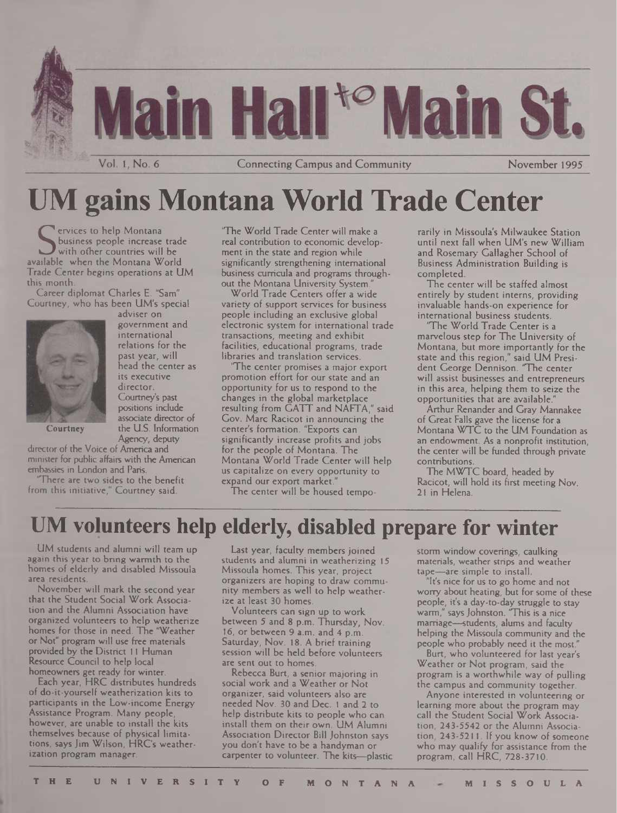

# UM gains Montana World Trade Center

Services to help Montana<br>
Solution business people increase trad<br>
with ofher countries will be<br>
available when the Montana World **ervices to help Montana** business people increase trade with other countries will be Trade Center begins operations at UM this month.

Career diplomat Charles E. "Sam" Courtney, who has been UM's special



adviser on government and international relations for the past year, will head the center as its executive director. Courtney's past positions include associate director of the U.S. Information Agency, deputy

Courtney

director of the Voice of America and minister for public affairs with the American embassies in London and Paris.

There are two sides to the benefit from this initiative," Courtney said.

"The World Trade Center will make a real contribution to economic development in the state and region while significantly strengthening international business curricula and programs throughout the Montana University System.

World Trade Centers offer a wide variety of support services for business people including an exclusive global electronic system for international trade transactions, meeting and exhibit facilities, educational programs, trade libraries and translation services.

The center promises a major export promotion effort for our state and an opportunity for us to respond to the changes in the global marketplace resulting from GATT and NAFTA," said Gov. Marc Racicot in announcing the center's formation. "Exports can significantly increase profits and jobs for the people of Montana. The Montana World Trade Center will help us capitalize on every opportunity to expand our export market."

The center will be housed tempo-

rarily in Missoula's Milwaukee Station until next fall when UM's new William and Rosemary Gallagher School of Business Administration Building is completed.

The center will be staffed almost entirely by student interns, providing invaluable hands-on experience for international business students.

The World Trade Center is a marvelous step for The University of Montana, but more importantly for the state and this region," said UM President George Dennison. "The center will assist businesses and entrepreneurs in this area, helping them to seize the opportunities that are available."

Arthur Renander and Gray Mannakee of Great Falls gave the license for a Montana WTC to the UM Foundation as an endowment. As a nonprofit institution, the center will be funded through private contributions.

The MWTC board, headed by Racicot, will hold its first meeting Nov. 21 in Helena.

# **UM volunteers help elderly, disabled prepare for winter**

UM students and alumni will team up again this year to bring warmth to the homes of elderly and disabled Missoula area residents.

November will mark the second year that the Student Social Work Association and the Alumni Association have organized volunteers to help weatherize homes for those in need. The 'Weather or Not" program will use free materials provided by the District <sup>11</sup> Human Resource Council to help local homeowners get ready for winter.

Each year, HRC distributes hundreds of do-it-yourself weatherization kits to participants in the Low-income Energy Assistance Program. Many people, however, are unable to install the kits themselves because of physical limitations, says Jim Wilson, HRC's weatherization program manager.

Last year, faculty members joined students and alumni in weatherizing 15 Missoula homes. This year, project organizers are hoping to draw community members as well to help weatherize at least 30 homes.

Volunteers can sign up to work between 5 and 8 p.m. Thursday, Nov. 16, or between 9 a.m. and 4 p.m. Saturday, Nov. 18. A brief training session will be held before volunteers are sent out to homes.

Rebecca Burt, a senior majoring in social work and a Weather or Not organizer, said volunteers also are needed Nov. 30 and Dec. <sup>1</sup> and 2 to help distribute kits to people who can install them on their own. UM Alumni Association Director Bill Johnston says you don't have to be a handyman or carpenter to volunteer. The kits—plastic storm window coverings, caulking materials, weather strips and weather tape—are simple to install.

"It's nice for us to go home and not worry about heating, but for some of these people, it's a day-to-day struggle to stay warm," saysJohnston. "This is a nice marriage—students, alums and faculty helping the Missoula community and the people who probably need it the most."

Burt, who volunteered for last year's Weather or Not program, said the program is a worthwhile way of pulling the campus and community together.

Anyone interested in volunteering or learning more about the program may call the Student Social Work Association, 243-5542 or the Alumni Association, 243-5211. If you know of someone who may qualify for assistance from the program, call HRC, 728-3710.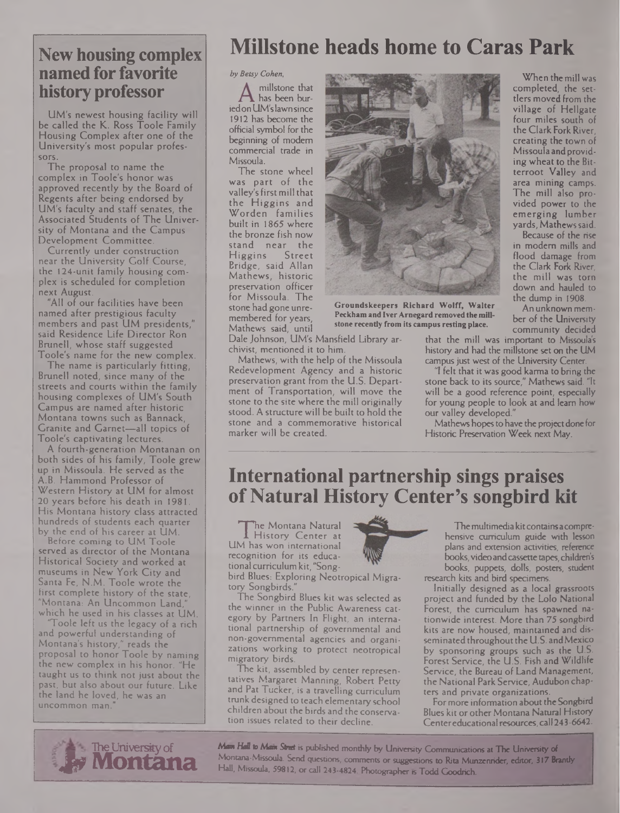### **New housing complex named for favorite history professor**

UM's newest housing facility will be called the K. Ross Toole Family Housing Complex after one of the University's most popular professors.

The proposal to name the complex in Toole's honor was approved recently by the Board of Regents after being endorsed by UM's faculty and staff senates, the Associated Students of The University of Montana and the Campus Development Committee.

Currently under construction near the University Golf Course, the 124-unit family housing complex is scheduled for completion next August.

"All of our facilities have been named after prestigious faculty members and past UM presidents," said Residence Life Director Ron Brunel), whose staff suggested Toole's name for the new complex.

The name is particularly fitting, Brunell noted, since many of the streets and courts within the family housing complexes of UM's South Campus are named after historic Montana towns such as Bannack, Granite and Garnet—all topics of Toole's captivating lectures.

A fourth-generation Montanan on both sides of his family, Toole grew up in Missoula. He served as the A.B. Hammond Professor of Western History at UM for almost 20 years before his death in 1981. His Montana history class attracted hundreds of students each quarter by the end of his career at UM.

Before coming to UM Toole served as director of the Montana Historical Society and worked at museums in New York City and Santa Fe, N.M. Toole wrote the first complete history of the state, "Montana: An Uncommon Land," which he used in his classes at UM.

'Toole left us the legacy of a rich and powerful understanding of Montana's history," reads the proposal to honor Toole by naming the new complex in his honor. "He taught us to think not just about the past, but also about our future. Like the land he loved, he was an uncommon man."

## **Millstone heads home to Caras Park**

#### Z»y *Betsy Cohen,*

millstone that has been buriedonUM'slawnsince 1912 has become the official symbol for the beginning of modem commercial trade in Missoula.

The stone wheel was part of the valley'sfirstmill that the Higgins and Worden families built in 1865 where the bronze fish now stand near the Higgins Street Bridge, said Allan Mathews, historic preservation officer for Missoula. The stone had gone unremembered for years, Mathews said, until

Dale Johnson, UM's Mansfield Library archivist, mentioned it to him.

Mathews, with the help of the Missoula Redevelopment Agency and a historic preservation grant from the U.S. Department of Transportation, will move the stone to the site where the mill originally stood. A structure will be built to hold the stone and a commemorative historical marker will be created.



**Groundskeepers Richard Wolff, Waiter Peckham and IverArnegard removedthemillstone recently from its campus resting place.**

When themill was completed, the settlers moved from the village of Hellgate four miles south of theClark Fork River, creating the town of Missoula and providing wheat to the Bitterroot Valley and area mining camps. The mill also provided power to the emerging lumber yards, Mathewssaid.

Because of the rise in modem mills and flood damage from the Clark Fork River, the mill was torn down and hauled to the dump in 1908.

An unknown member of the University community decided

that the mill was important to Missoula's history and had the millstone set on the UM campus just west of the University Center.

"I felt that itwas good karma to bring the stone back to its source," Mathews said. "It will be a good reference point, especially for young people to look at and learn how our valley developed."

Mathews hopes to have the project done for Historic Preservation Week next May.

### **International partnership sings praises ofNatural History Center's songbird kit**

I History Center at<br>M has won international he Montana Natural History Center at recognition for its educational curriculum kit, "Song-

bird Blues: Exploring Neotropical Migratory Songbirds."

The Songbird Blues kit was selected as the winner in the Public Awareness category by Partners In Flight, an international partnership of governmental and non-governmental agencies and organizations working to protect neotropical migratory birds.

The kit, assembled by center representatives Margaret Manning, Robert Petty and Pat Tucker, is a travelling curriculum trunk designed to teach elementary school children about the birds and the conservation issues related to their decline.

------- - -------------------------------------



The multimedia kit contains a comprehensive curriculum guide with lesson plans and extension activities, reference books, video and cassette tapes, children's books, puppets, dolls, posters, student research kits and bird specimens.

Initially designed as a local grassroots project and funded by the Lolo National Forest, the curriculum has spawned nationwide interest. More than 75 songbird kits are now housed, maintained and disseminated throughout the U.S. and Mexico by sponsoring groups such as the U.S. Forest Service, the U.S. Fish and Wildlife Service, the Bureau of Land Management, the National Park Service, Audubon chapters and private organizations.

For more information about the Songbird Blues kit or other Montana Natural History Center educational resources, call 243-6642.



*Mm Hdl* to Atom Street is published monthly by University Communications at The University of Montana-Missoula. Send questions, comments or suggestions to Rita Munzenrider, editor; 317 Brandy Hall, Missoula, 59812, or call 243-4824. Photographer is Todd Goodrich.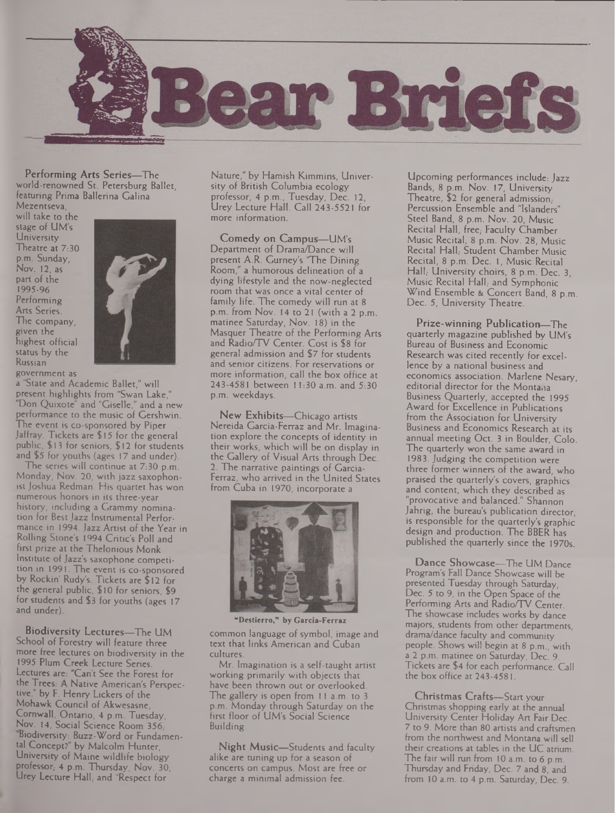

Performing Arts Series—The world-renowned St. Petersburg Ballet, featuring Prima Ballerina Galina Mezentseva,

will take to the stage of UM's **University** Theatre at 7:30 p.m. Sunday, Nov. 12, as part of the 1995-96 Performing Arts Series. The company, given the highest official status by the Russian



government as

a "State and Academic Ballet," will present highlights from "Swan Lake," "Don Quixote" and "Giselle," and a new performance to the music of Gershwin. The event is co-sponsored by Piper Jaffray. Tickets are \$ 15 for the general public, \$13 for seniors, \$12 for students and \$5 for youths (ages 17 and under).

The series will continue at 7:30 p.m. Monday, Nov. 20, with jazz saxophonist Joshua Redman. His quartet has won numerous honors in its three-year history, including a Grammy nomination for Best Jazz Instrumental Performance in 1994, Jazz Artist of the Year in Rolling Stone's 1994 Critic's Poll and first prize at the Thelonious Monk Institute of Jazz's saxophone competition in 1991. The event is co-sponsored by Rockin' Rudy's. Tickets are \$12 for the general public, \$10 for seniors, \$9 for students and \$3 for youths (ages 17 and under).

Biodiversity Lectures—The UM School of Forestry will feature three more free lectures on biodiversity in the 1995 Plum Creek Lecture Series. Lectures are: "Can't See the Forest for the Trees: A Native American's Perspective," by F. Henry Lickers of the Mohawk Council of Akwesasne, Cornwall, Ontario, 4 p.m. Tuesday, Nov. 14, Social Science Room 356; Biodiversity: Buzz-Word or Fundamental Concept?" by Malcolm Hunter, University of Maine wildlife biology professor; 4 p.m. Thursday, Nov. 30, Urey Lecture Hall; and "Respect for

Nature," by Hamish Kimmins, University of British Columbia ecology professor, 4 p.m., Tuesday, Dec. 12, Urey Lecture Hall. Call 243-5521 for more information.

Comedy on Campus—UM's Department of Drama/Dance will present A.R. Gurney's "The Dining Room," a humorous delineation of a dying lifestyle and the now-neglected room that was once a vital center of family life. The comedy will run at 8 p.m. from Nov. 14 to 21 (with a 2 p.m. matinee Saturday, Nov. 18) in the Masquer Theatre of the Performing Arts and Radio/TV Center. Cost is \$8 for general admission and \$7 for students and senior citizens. For reservations or more information, call the box office at 243-4581 between 11:30 a.m. and 5:30 p.m. weekdays.

New Exhibits—Chicago artists Nereida Carcia-Ferraz and Mr. Imagination explore the concepts of identity in their works, which will be on display in the Gallery of Visual Arts through Dec. 2. The narrative paintings of Garcia-Ferraz, who arrived in the United States from Cuba in 1970, incorporate a



**"Destierro," by Garcia-Ferraz** common language of symbol, image and text that links American and Cuban

cultures. Mr. Imagination is a self-taught artist working primarily with objects that have been thrown out or overlooked. The gallery is open from 11 a.m. to 3 p.m. Monday through Saturday on the first floor of UM's Social Science Building.

Night Music—Students and faculty alike are tuning up for a season of concerts on campus. Most are free or charge a minimal admission fee.

Upcoming performances include: Jazz Bands, 8 p.m. Nov. 17, University Theatre, \$2 for general admission. Percussion Ensemble and "Islanders" Steel Band, 8 p.m. Nov. 20, Music Recital Hall, free, Faculty Chamber Music Recital, 8 p.m. Nov. 28, Music Recital Hall, Student Chamber Music Recital, 8 p.m. Dec. 1, Music Recital Hall, University choirs, 8 p.m. Dec. 3, Music Recital Hall, and Symphonic Wind Ensemble & Concert Band, 8 p.m. Dec. 5, University Theatre.

Prize-winning Publication—The quarterly magazine published by UM's Bureau of Business and Economic Research was cited recently for excellence by a national business and economics association. Marlene Nesary, editorial director for the Montana Business Quarterly, accepted the 1995 Award for Excellence in Publications from the Association for University Business and Economics Research at its annual meeting Oct. 3 in Boulder, Colo. The quarterly won the same award in 1983. Judging the competition were three former winners of the award, who praised the quarterly's covers, graphics and content, which they described as "provocative and balanced." Shannon Jahrig, the bureau's publication director. is responsible for the quarterly's graphic design and production. The BBER has published the quarterly since the 1970s.

Dance Showcase—The UM Dance Program's Fall Dance Showcase will be presented Tuesday through Saturday, Dec. 5 to 9, in the Open Space of the Performing Arts and Radio/TV Center. The showcase includes works by dance majors, students from other departments, drama/dance faculty and community people. Shows will begin at 8 p.m., with a 2 p.m. matinee on Saturday, Dec. 9. Tickets are \$4 for each performance. Call the box office at 243-4581.

Christmas Crafts—Start your Christmas shopping early at the annual University Center Holiday Art Fair Dec. 7 to 9. More than 80 artists and craftsmen from the northwest and Montana will sell their creations at tables in the UC atrium. The fair will run from 10 a.m. to 6 p.m. Thursday and Friday, Dec. 7 and 8, and from 10 a.m. to 4 p.m. Saturday, Dec. 9.